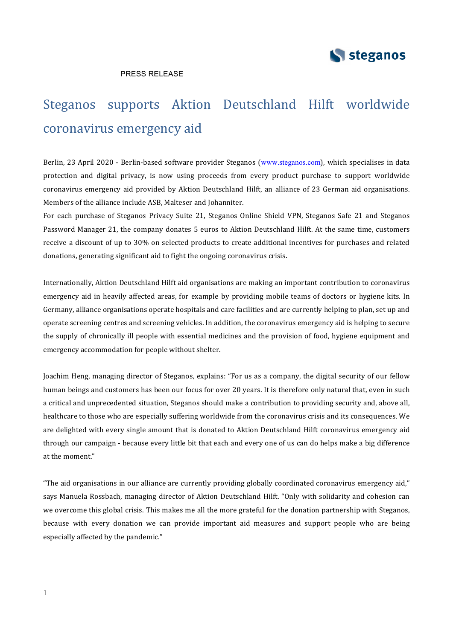

## PRESS RELEASE

# Steganos supports Aktion Deutschland Hilft worldwide coronavirus emergency aid

Berlin, 23 April 2020 - Berlin-based software provider Steganos (www.steganos.com), which specialises in data protection and digital privacy, is now using proceeds from every product purchase to support worldwide coronavirus emergency aid provided by Aktion Deutschland Hilft, an alliance of 23 German aid organisations. Members of the alliance include ASB, Malteser and Johanniter.

For each purchase of Steganos Privacy Suite 21, Steganos Online Shield VPN, Steganos Safe 21 and Steganos Password Manager 21, the company donates 5 euros to Aktion Deutschland Hilft. At the same time, customers receive a discount of up to 30% on selected products to create additional incentives for purchases and related donations, generating significant aid to fight the ongoing coronavirus crisis.

Internationally, Aktion Deutschland Hilft aid organisations are making an important contribution to coronavirus emergency aid in heavily affected areas, for example by providing mobile teams of doctors or hygiene kits. In Germany, alliance organisations operate hospitals and care facilities and are currently helping to plan, set up and operate screening centres and screening vehicles. In addition, the coronavirus emergency aid is helping to secure the supply of chronically ill people with essential medicines and the provision of food, hygiene equipment and emergency accommodation for people without shelter.

Joachim Heng, managing director of Steganos, explains: "For us as a company, the digital security of our fellow human beings and customers has been our focus for over 20 years. It is therefore only natural that, even in such a critical and unprecedented situation, Steganos should make a contribution to providing security and, above all, healthcare to those who are especially suffering worldwide from the coronavirus crisis and its consequences. We are delighted with every single amount that is donated to Aktion Deutschland Hilft coronavirus emergency aid through our campaign - because every little bit that each and every one of us can do helps make a big difference at the moment."

"The aid organisations in our alliance are currently providing globally coordinated coronavirus emergency aid," says Manuela Rossbach, managing director of Aktion Deutschland Hilft. "Only with solidarity and cohesion can we overcome this global crisis. This makes me all the more grateful for the donation partnership with Steganos, because with every donation we can provide important aid measures and support people who are being especially affected by the pandemic."